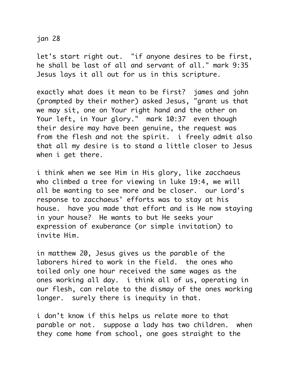## jan 28

let's start right out. "if anyone desires to be first, he shall be last of all and servant of all." mark 9:35 Jesus lays it all out for us in this scripture.

exactly what does it mean to be first? james and john (prompted by their mother) asked Jesus, "grant us that we may sit, one on Your right hand and the other on Your left, in Your glory." mark 10:37 even though their desire may have been genuine, the request was from the flesh and not the spirit. i freely admit also that all my desire is to stand a little closer to Jesus when i get there.

i think when we see Him in His glory, like zacchaeus who climbed a tree for viewing in luke 19:4, we will all be wanting to see more and be closer. our Lord's response to zacchaeus' efforts was to stay at his house. have you made that effort and is He now staying in your house? He wants to but He seeks your expression of exuberance (or simple invitation) to invite Him.

in matthew 20, Jesus gives us the parable of the laborers hired to work in the field. the ones who toiled only one hour received the same wages as the ones working all day. i think all of us, operating in our flesh, can relate to the dismay of the ones working longer. surely there is inequity in that.

i don't know if this helps us relate more to that parable or not. suppose a lady has two children. when they come home from school, one goes straight to the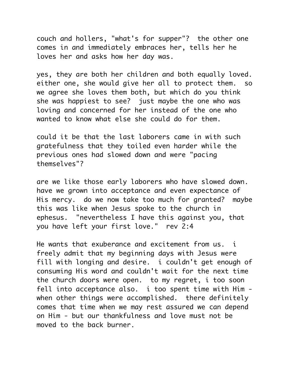couch and hollers, "what's for supper"? the other one comes in and immediately embraces her, tells her he loves her and asks how her day was.

yes, they are both her children and both equally loved. either one, she would give her all to protect them. so we agree she loves them both, but which do you think she was happiest to see? just maybe the one who was loving and concerned for her instead of the one who wanted to know what else she could do for them.

could it be that the last laborers came in with such gratefulness that they toiled even harder while the previous ones had slowed down and were "pacing themselves"?

are we like those early laborers who have slowed down. have we grown into acceptance and even expectance of His mercy. do we now take too much for granted? maybe this was like when Jesus spoke to the church in ephesus. "nevertheless I have this against you, that you have left your first love." rev 2:4

He wants that exuberance and excitement from us. i freely admit that my beginning days with Jesus were fill with longing and desire. i couldn't get enough of consuming His word and couldn't wait for the next time the church doors were open. to my regret, i too soon fell into acceptance also. i too spent time with Him when other things were accomplished. there definitely comes that time when we may rest assured we can depend on Him - but our thankfulness and love must not be moved to the back burner.